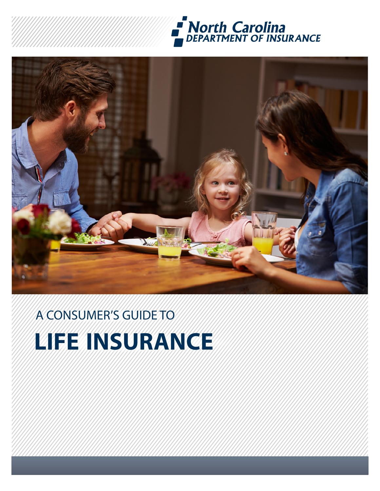



# A CONSUMER'S GUIDE TO **LIFE INSURANCE**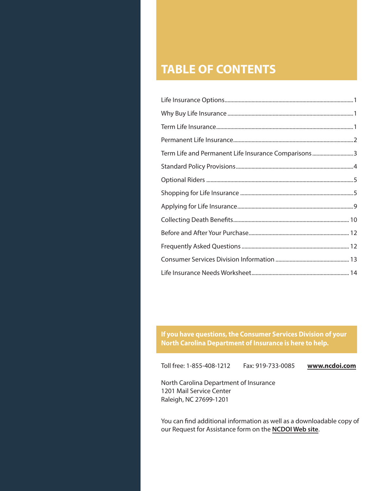# **TABLE OF CONTENTS**

**If you have questions, the Consumer Services Division of your North Carolina Department of Insurance is here to help.**

Toll free: 1-855-408-1212 Fax: 919-733-0085 **[www.ncdoi.com](http://www.ncdoi.com)**

North Carolina Department of Insurance 1201 Mail Service Center Raleigh, NC 27699-1201

You can find additional information as well as a downloadable copy of our [Request for Assistance form](http://ncdoi.com/Consumer/Requesting_Assistance.aspx) on the **[NCDOI Web site](http://ncdoi.com/Consumer/Requesting_Assistance.aspx)**.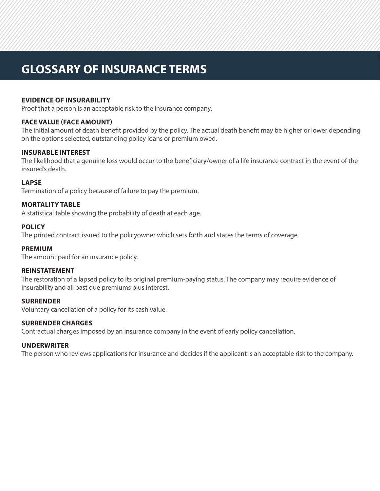# **GLOSSARY OF INSURANCE TERMS**

# **EVIDENCE OF INSURABILITY**

Proof that a person is an acceptable risk to the insurance company.

# **FACE VALUE (FACE AMOUNT)**

The initial amount of death benefit provided by the policy. The actual death benefit may be higher or lower depending on the options selected, outstanding policy loans or premium owed.

### **INSURABLE INTEREST**

The likelihood that a genuine loss would occur to the beneficiary/owner of a life insurance contract in the event of the insured's death.

### **LAPSE**

Termination of a policy because of failure to pay the premium.

### **MORTALITY TABLE**

A statistical table showing the probability of death at each age.

### **POLICY**

The printed contract issued to the policyowner which sets forth and states the terms of coverage.

#### **PREMIUM**

The amount paid for an insurance policy.

#### **REINSTATEMENT**

The restoration of a lapsed policy to its original premium-paying status. The company may require evidence of insurability and all past due premiums plus interest.

#### **SURRENDER**

Voluntary cancellation of a policy for its cash value.

#### **SURRENDER CHARGES**

Contractual charges imposed by an insurance company in the event of early policy cancellation.

#### **UNDERWRITER**

The person who reviews applications for insurance and decides if the applicant is an acceptable risk to the company.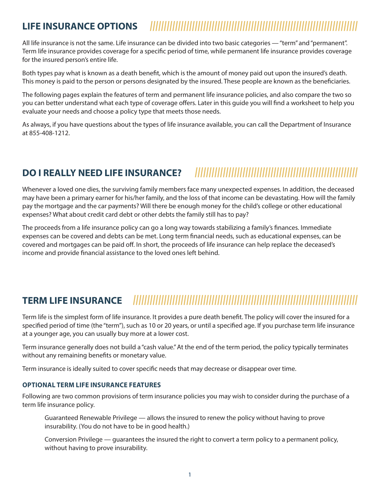# $L$ **IFE INSURANCE OPTIONS**

All life insurance is not the same. Life insurance can be divided into two basic categories — "term" and "permanent". Term life insurance provides coverage for a specific period of time, while permanent life insurance provides coverage for the insured person's entire life.

Both types pay what is known as a death benefit, which is the amount of money paid out upon the insured's death. This money is paid to the person or persons designated by the insured. These people are known as the beneficiaries.

The following pages explain the features of term and permanent life insurance policies, and also compare the two so you can better understand what each type of coverage offers. Later in this guide you will find a worksheet to help you evaluate your needs and choose a policy type that meets those needs.

As always, if you have questions about the types of life insurance available, you can call the Department of Insurance at 855-408-1212.

# **DO I REALLY NEED LIFE INSURANCE? ||||||||||||||||||||||||||||||||||||||||||||||||||||||||||**

Whenever a loved one dies, the surviving family members face many unexpected expenses. In addition, the deceased may have been a primary earner for his/her family, and the loss of that income can be devastating. How will the family pay the mortgage and the car payments? Will there be enough money for the child's college or other educational expenses? What about credit card debt or other debts the family still has to pay?

The proceeds from a life insurance policy can go a long way towards stabilizing a family's finances. Immediate expenses can be covered and debts can be met. Long term financial needs, such as educational expenses, can be covered and mortgages can be paid off. In short, the proceeds of life insurance can help replace the deceased's income and provide financial assistance to the loved ones left behind.

# **TERM LIFE INSURANCE ||||||||||||||||||||||||||||||||||||||||||||||||||||||||||||||||||||||||||||||||**

Term life is the simplest form of life insurance. It provides a pure death benefit. The policy will cover the insured for a specified period of time (the "term"), such as 10 or 20 years, or until a specified age. If you purchase term life insurance at a younger age, you can usually buy more at a lower cost.

Term insurance generally does not build a "cash value." At the end of the term period, the policy typically terminates without any remaining benefits or monetary value.

Term insurance is ideally suited to cover specific needs that may decrease or disappear over time.

# **OPTIONAL TERM LIFE INSURANCE FEATURES**

Following are two common provisions of term insurance policies you may wish to consider during the purchase of a term life insurance policy.

Guaranteed Renewable Privilege — allows the insured to renew the policy without having to prove insurability. (You do not have to be in good health.)

Conversion Privilege — guarantees the insured the right to convert a term policy to a permanent policy, without having to prove insurability.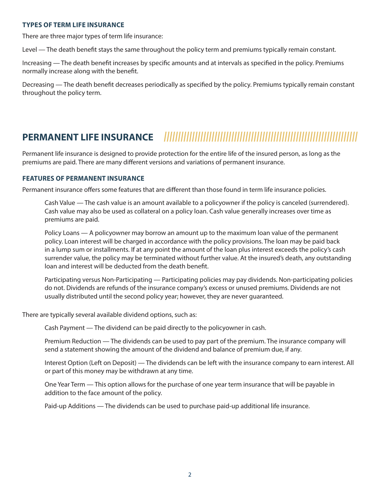### **TYPES OF TERM LIFE INSURANCE**

There are three major types of term life insurance:

Level — The death benefit stays the same throughout the policy term and premiums typically remain constant.

Increasing — The death benefit increases by specific amounts and at intervals as specified in the policy. Premiums normally increase along with the benefit.

Decreasing — The death benefit decreases periodically as specified by the policy. Premiums typically remain constant throughout the policy term.

# **PERMANENT LIFE INSURANCE |||||||||||||||||||||||||||||||||||||||||||||||||||||||||||||||||||||**

Permanent life insurance is designed to provide protection for the entire life of the insured person, as long as the premiums are paid. There are many different versions and variations of permanent insurance.

# **FEATURES OF PERMANENT INSURANCE**

Permanent insurance offers some features that are different than those found in term life insurance policies.

Cash Value — The cash value is an amount available to a policyowner if the policy is canceled (surrendered). Cash value may also be used as collateral on a policy loan. Cash value generally increases over time as premiums are paid.

Policy Loans — A policyowner may borrow an amount up to the maximum loan value of the permanent policy. Loan interest will be charged in accordance with the policy provisions. The loan may be paid back in a lump sum or installments. If at any point the amount of the loan plus interest exceeds the policy's cash surrender value, the policy may be terminated without further value. At the insured's death, any outstanding loan and interest will be deducted from the death benefit.

Participating versus Non-Participating — Participating policies may pay dividends. Non-participating policies do not. Dividends are refunds of the insurance company's excess or unused premiums. Dividends are not usually distributed until the second policy year; however, they are never guaranteed.

There are typically several available dividend options, such as:

Cash Payment — The dividend can be paid directly to the policyowner in cash.

Premium Reduction — The dividends can be used to pay part of the premium. The insurance company will send a statement showing the amount of the dividend and balance of premium due, if any.

Interest Option (Left on Deposit) — The dividends can be left with the insurance company to earn interest. All or part of this money may be withdrawn at any time.

One Year Term — This option allows for the purchase of one year term insurance that will be payable in addition to the face amount of the policy.

Paid-up Additions — The dividends can be used to purchase paid-up additional life insurance.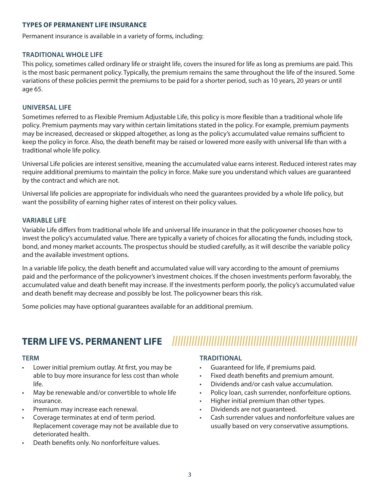### **TYPES OF PERMANENT LIFE INSURANCE**

Permanent insurance is available in a variety of forms, including:

### **TRADITIONAL WHOLE LIFE**

This policy, sometimes called ordinary life or straight life, covers the insured for life as long as premiums are paid. This is the most basic permanent policy. Typically, the premium remains the same throughout the life of the insured. Some variations of these policies permit the premiums to be paid for a shorter period, such as 10 years, 20 years or until age 65.

#### **UNIVERSAL LIFE**

Sometimes referred to as Flexible Premium Adjustable Life, this policy is more flexible than a traditional whole life policy. Premium payments may vary within certain limitations stated in the policy. For example, premium payments may be increased, decreased or skipped altogether, as long as the policy's accumulated value remains sufficient to keep the policy in force. Also, the death benefit may be raised or lowered more easily with universal life than with a traditional whole life policy.

Universal Life policies are interest sensitive, meaning the accumulated value earns interest. Reduced interest rates may require additional premiums to maintain the policy in force. Make sure you understand which values are guaranteed by the contract and which are not.

Universal life policies are appropriate for individuals who need the guarantees provided by a whole life policy, but want the possibility of earning higher rates of interest on their policy values.

### **VARIABLE LIFE**

Variable Life differs from traditional whole life and universal life insurance in that the policyowner chooses how to invest the policy's accumulated value. There are typically a variety of choices for allocating the funds, including stock, bond, and money market accounts. The prospectus should be studied carefully, as it will describe the variable policy and the available investment options.

In a variable life policy, the death benefit and accumulated value will vary according to the amount of premiums paid and the performance of the policyowner's investment choices. If the chosen investments perform favorably, the accumulated value and death benefit may increase. If the investments perform poorly, the policy's accumulated value and death benefit may decrease and possibly be lost. The policyowner bears this risk.

Some policies may have optional guarantees available for an additional premium.

# **TERM LIFE VS. PERMANENT LIFE ||||||||||||||||||||||||||||||||||||||||||||||||||||||||||||||||||**

#### **TERM**

- Lower initial premium outlay. At first, you may be able to buy more insurance for less cost than whole life.
- May be renewable and/or convertible to whole life insurance.
- Premium may increase each renewal.
- Coverage terminates at end of term period. Replacement coverage may not be available due to deteriorated health.
- Death benefits only. No nonforfeiture values.

#### **TRADITIONAL**

- Guaranteed for life, if premiums paid.
- Fixed death benefits and premium amount.
- Dividends and/or cash value accumulation.
- Policy loan, cash surrender, nonforfeiture options.
- Higher initial premium than other types.
- Dividends are not guaranteed.
- Cash surrender values and nonforfeiture values are usually based on very conservative assumptions.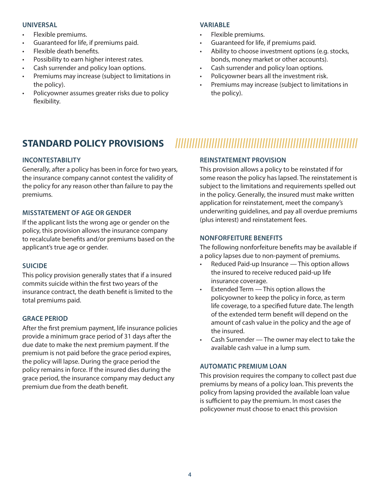#### **UNIVERSAL**

- Flexible premiums.
- Guaranteed for life, if premiums paid.
- Flexible death benefits.
- Possibility to earn higher interest rates.
- Cash surrender and policy loan options.
- Premiums may increase (subject to limitations in the policy).
- Policyowner assumes greater risks due to policy flexibility.

# **VARIABLE**

- Flexible premiums.
- Guaranteed for life, if premiums paid.
- Ability to choose investment options (e.g. stocks, bonds, money market or other accounts).
- Cash surrender and policy loan options.
- Policyowner bears all the investment risk.
- Premiums may increase (subject to limitations in the policy).

# **STANDARD POLICY PROVISIONS |||||||||||||||||||||||||||||||||||||||||||||||||||||||||||||||||**

# **INCONTESTABILITY**

Generally, after a policy has been in force for two years, the insurance company cannot contest the validity of the policy for any reason other than failure to pay the premiums.

# **MISSTATEMENT OF AGE OR GENDER**

If the applicant lists the wrong age or gender on the policy, this provision allows the insurance company to recalculate benefits and/or premiums based on the applicant's true age or gender.

# **SUICIDE**

This policy provision generally states that if a insured commits suicide within the first two years of the insurance contract, the death benefit is limited to the total premiums paid.

# **GRACE PERIOD**

After the first premium payment, life insurance policies provide a minimum grace period of 31 days after the due date to make the next premium payment. If the premium is not paid before the grace period expires, the policy will lapse. During the grace period the policy remains in force. If the insured dies during the grace period, the insurance company may deduct any premium due from the death benefit.

# **REINSTATEMENT PROVISION**

This provision allows a policy to be reinstated if for some reason the policy has lapsed. The reinstatement is subject to the limitations and requirements spelled out in the policy. Generally, the insured must make written application for reinstatement, meet the company's underwriting guidelines, and pay all overdue premiums (plus interest) and reinstatement fees.

# **NONFORFEITURE BENEFITS**

The following nonforfeiture benefits may be available if a policy lapses due to non-payment of premiums.

- Reduced Paid-up Insurance This option allows the insured to receive reduced paid-up life insurance coverage.
- Extended Term This option allows the policyowner to keep the policy in force, as term life coverage, to a specified future date. The length of the extended term benefit will depend on the amount of cash value in the policy and the age of the insured.
- Cash Surrender The owner may elect to take the available cash value in a lump sum.

# **AUTOMATIC PREMIUM LOAN**

This provision requires the company to collect past due premiums by means of a policy loan. This prevents the policy from lapsing provided the available loan value is sufficient to pay the premium. In most cases the policyowner must choose to enact this provision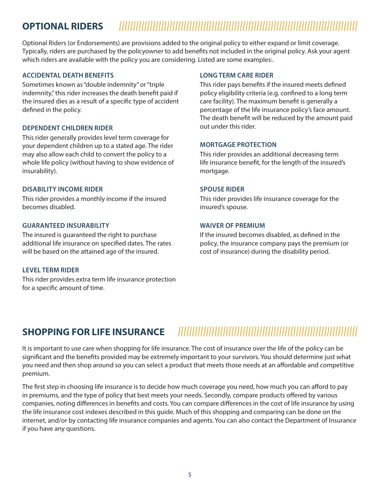# **OPTIONAL RIDERS |||||||||||||||||||||||||||||||||||||||||||||||||||||||||||||||||||||||||||||||||||||**

Optional Riders (or Endorsements) are provisions added to the original policy to either expand or limit coverage. Typically, riders are purchased by the policyowner to add benefits not included in the original policy. Ask your agent which riders are available with the policy you are considering. Listed are some examples:.

#### **ACCIDENTAL DEATH BENEFITS**

Sometimes known as "double indemnity" or "triple indemnity," this rider increases the death benefit paid if the insured dies as a result of a specific type of accident defined in the policy.

#### **DEPENDENT CHILDREN RIDER**

This rider generally provides level term coverage for your dependent children up to a stated age. The rider may also allow each child to convert the policy to a whole life policy (without having to show evidence of insurability).

#### **DISABILITY INCOME RIDER**

This rider provides a monthly income if the insured becomes disabled.

#### **GUARANTEED INSURABILITY**

The insured is guaranteed the right to purchase additional life insurance on specified dates. The rates will be based on the attained age of the insured.

#### **LEVEL TERM RIDER**

This rider provides extra term life insurance protection for a specific amount of time.

#### **LONG TERM CARE RIDER**

This rider pays benefits if the insured meets defined policy eligibility criteria (e.g. confined to a long term care facility). The maximum benefit is generally a percentage of the life insurance policy's face amount. The death benefit will be reduced by the amount paid out under this rider.

#### **MORTGAGE PROTECTION**

This rider provides an additional decreasing term life insurance benefit, for the length of the insured's mortgage.

#### **SPOUSE RIDER**

This rider provides life insurance coverage for the insured's spouse.

#### **WAIVER OF PREMIUM**

If the insured becomes disabled, as defined in the policy, the insurance company pays the premium (or cost of insurance) during the disability period.

# **SHOPPING FOR LIFE INSURANCE ||||||||||||||||||||||||||||||||||||||||||||||||||||||||||||||||**

It is important to use care when shopping for life insurance. The cost of insurance over the life of the policy can be significant and the benefits provided may be extremely important to your survivors. You should determine just what you need and then shop around so you can select a product that meets those needs at an affordable and competitive premium.

The first step in choosing life insurance is to decide how much coverage you need, how much you can afford to pay in premiums, and the type of policy that best meets your needs. Secondly, compare products offered by various companies, noting differences in benefits and costs. You can compare differences in the cost of life insurance by using the life insurance cost indexes described in this guide. Much of this shopping and comparing can be done on the internet, and/or by contacting life insurance companies and agents. You can also contact the Department of Insurance if you have any questions.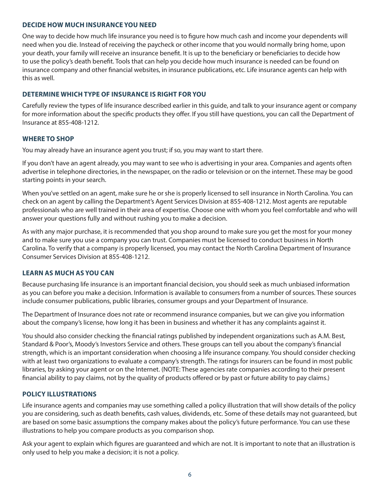#### **DECIDE HOW MUCH INSURANCE YOU NEED**

One way to decide how much life insurance you need is to figure how much cash and income your dependents will need when you die. Instead of receiving the paycheck or other income that you would normally bring home, upon your death, your family will receive an insurance benefit. It is up to the beneficiary or beneficiaries to decide how to use the policy's death benefit. Tools that can help you decide how much insurance is needed can be found on insurance company and other financial websites, in insurance publications, etc. Life insurance agents can help with this as well.

# **DETERMINE WHICH TYPE OF INSURANCE IS RIGHT FOR YOU**

Carefully review the types of life insurance described earlier in this guide, and talk to your insurance agent or company for more information about the specific products they offer. If you still have questions, you can call the Department of Insurance at 855-408-1212.

# **WHERE TO SHOP**

You may already have an insurance agent you trust; if so, you may want to start there.

If you don't have an agent already, you may want to see who is advertising in your area. Companies and agents often advertise in telephone directories, in the newspaper, on the radio or television or on the internet. These may be good starting points in your search.

When you've settled on an agent, make sure he or she is properly licensed to sell insurance in North Carolina. You can check on an agent by calling the Department's Agent Services Division at 855-408-1212. Most agents are reputable professionals who are well trained in their area of expertise. Choose one with whom you feel comfortable and who will answer your questions fully and without rushing you to make a decision.

As with any major purchase, it is recommended that you shop around to make sure you get the most for your money and to make sure you use a company you can trust. Companies must be licensed to conduct business in North Carolina. To verify that a company is properly licensed, you may contact the North Carolina Department of Insurance Consumer Services Division at 855-408-1212.

# **LEARN AS MUCH AS YOU CAN**

Because purchasing life insurance is an important financial decision, you should seek as much unbiased information as you can before you make a decision. Information is available to consumers from a number of sources. These sources include consumer publications, public libraries, consumer groups and your Department of Insurance.

The Department of Insurance does not rate or recommend insurance companies, but we can give you information about the company's license, how long it has been in business and whether it has any complaints against it.

You should also consider checking the financial ratings published by independent organizations such as A.M. Best, Standard & Poor's, Moody's Investors Service and others. These groups can tell you about the company's financial strength, which is an important consideration when choosing a life insurance company. You should consider checking with at least two organizations to evaluate a company's strength. The ratings for insurers can be found in most public libraries, by asking your agent or on the Internet. (NOTE: These agencies rate companies according to their present financial ability to pay claims, not by the quality of products offered or by past or future ability to pay claims.)

# **POLICY ILLUSTRATIONS**

Life insurance agents and companies may use something called a policy illustration that will show details of the policy you are considering, such as death benefits, cash values, dividends, etc. Some of these details may not guaranteed, but are based on some basic assumptions the company makes about the policy's future performance. You can use these illustrations to help you compare products as you comparison shop.

Ask your agent to explain which figures are guaranteed and which are not. It is important to note that an illustration is only used to help you make a decision; it is not a policy.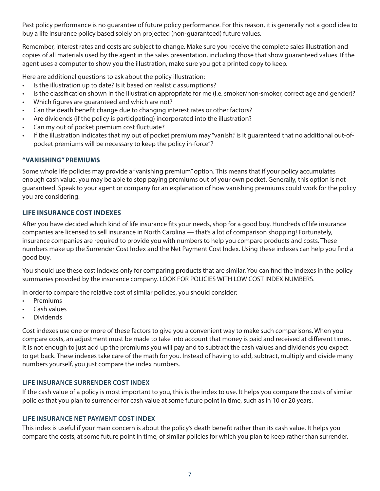Past policy performance is no guarantee of future policy performance. For this reason, it is generally not a good idea to buy a life insurance policy based solely on projected (non-guaranteed) future values.

Remember, interest rates and costs are subject to change. Make sure you receive the complete sales illustration and copies of all materials used by the agent in the sales presentation, including those that show guaranteed values. If the agent uses a computer to show you the illustration, make sure you get a printed copy to keep.

Here are additional questions to ask about the policy illustration:

- Is the illustration up to date? Is it based on realistic assumptions?
- Is the classification shown in the illustration appropriate for me (i.e. smoker/non-smoker, correct age and gender)?
- Which figures are guaranteed and which are not?
- Can the death benefit change due to changing interest rates or other factors?
- Are dividends (if the policy is participating) incorporated into the illustration?
- Can my out of pocket premium cost fluctuate?
- If the illustration indicates that my out of pocket premium may "vanish," is it guaranteed that no additional out-ofpocket premiums will be necessary to keep the policy in-force"?

# **"VANISHING" PREMIUMS**

Some whole life policies may provide a "vanishing premium" option. This means that if your policy accumulates enough cash value, you may be able to stop paying premiums out of your own pocket. Generally, this option is not guaranteed. Speak to your agent or company for an explanation of how vanishing premiums could work for the policy you are considering.

# **LIFE INSURANCE COST INDEXES**

After you have decided which kind of life insurance fits your needs, shop for a good buy. Hundreds of life insurance companies are licensed to sell insurance in North Carolina — that's a lot of comparison shopping! Fortunately, insurance companies are required to provide you with numbers to help you compare products and costs. These numbers make up the Surrender Cost Index and the Net Payment Cost Index. Using these indexes can help you find a good buy.

You should use these cost indexes only for comparing products that are similar. You can find the indexes in the policy summaries provided by the insurance company. LOOK FOR POLICIES WITH LOW COST INDEX NUMBERS.

In order to compare the relative cost of similar policies, you should consider:

- Premiums
- Cash values
- Dividends

Cost indexes use one or more of these factors to give you a convenient way to make such comparisons. When you compare costs, an adjustment must be made to take into account that money is paid and received at different times. It is not enough to just add up the premiums you will pay and to subtract the cash values and dividends you expect to get back. These indexes take care of the math for you. Instead of having to add, subtract, multiply and divide many numbers yourself, you just compare the index numbers.

# **LIFE INSURANCE SURRENDER COST INDEX**

If the cash value of a policy is most important to you, this is the index to use. It helps you compare the costs of similar policies that you plan to surrender for cash value at some future point in time, such as in 10 or 20 years.

# **LIFE INSURANCE NET PAYMENT COST INDEX**

This index is useful if your main concern is about the policy's death benefit rather than its cash value. It helps you compare the costs, at some future point in time, of similar policies for which you plan to keep rather than surrender.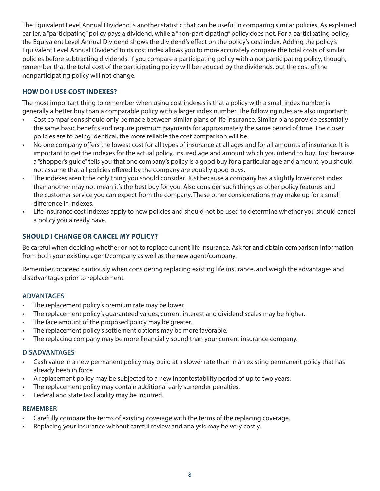The Equivalent Level Annual Dividend is another statistic that can be useful in comparing similar policies. As explained earlier, a "participating" policy pays a dividend, while a "non-participating" policy does not. For a participating policy, the Equivalent Level Annual Dividend shows the dividend's effect on the policy's cost index. Adding the policy's Equivalent Level Annual Dividend to its cost index allows you to more accurately compare the total costs of similar policies before subtracting dividends. If you compare a participating policy with a nonparticipating policy, though, remember that the total cost of the participating policy will be reduced by the dividends, but the cost of the nonparticipating policy will not change.

# **HOW DO I USE COST INDEXES?**

The most important thing to remember when using cost indexes is that a policy with a small index number is generally a better buy than a comparable policy with a larger index number. The following rules are also important:

- Cost comparisons should only be made between similar plans of life insurance. Similar plans provide essentially the same basic benefits and require premium payments for approximately the same period of time. The closer policies are to being identical, the more reliable the cost comparison will be.
- No one company offers the lowest cost for all types of insurance at all ages and for all amounts of insurance. It is important to get the indexes for the actual policy, insured age and amount which you intend to buy. Just because a "shopper's guide" tells you that one company's policy is a good buy for a particular age and amount, you should not assume that all policies offered by the company are equally good buys.
- The indexes aren't the only thing you should consider. Just because a company has a slightly lower cost index than another may not mean it's the best buy for you. Also consider such things as other policy features and the customer service you can expect from the company. These other considerations may make up for a small difference in indexes.
- Life insurance cost indexes apply to new policies and should not be used to determine whether you should cancel a policy you already have.

# **SHOULD I CHANGE OR CANCEL MY POLICY?**

Be careful when deciding whether or not to replace current life insurance. Ask for and obtain comparison information from both your existing agent/company as well as the new agent/company.

Remember, proceed cautiously when considering replacing existing life insurance, and weigh the advantages and disadvantages prior to replacement.

# **ADVANTAGES**

- The replacement policy's premium rate may be lower.
- The replacement policy's guaranteed values, current interest and dividend scales may be higher.
- The face amount of the proposed policy may be greater.
- The replacement policy's settlement options may be more favorable.
- The replacing company may be more financially sound than your current insurance company.

#### **DISADVANTAGES**

- Cash value in a new permanent policy may build at a slower rate than in an existing permanent policy that has already been in force
- A replacement policy may be subjected to a new incontestability period of up to two years.
- The replacement policy may contain additional early surrender penalties.
- Federal and state tax liability may be incurred.

#### **REMEMBER**

- Carefully compare the terms of existing coverage with the terms of the replacing coverage.
- Replacing your insurance without careful review and analysis may be very costly.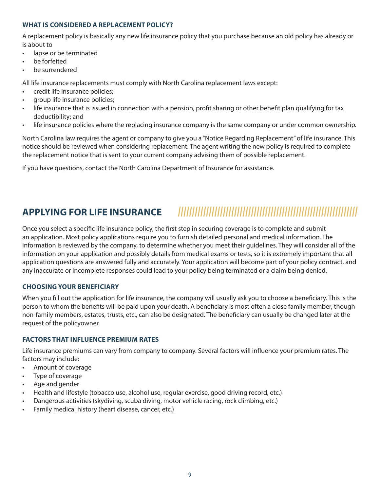# **WHAT IS CONSIDERED A REPLACEMENT POLICY?**

A replacement policy is basically any new life insurance policy that you purchase because an old policy has already or is about to

- lapse or be terminated
- be forfeited
- be surrendered

All life insurance replacements must comply with North Carolina replacement laws except:

- credit life insurance policies;
- group life insurance policies;
- life insurance that is issued in connection with a pension, profit sharing or other benefit plan qualifying for tax deductibility; and
- life insurance policies where the replacing insurance company is the same company or under common ownership.

North Carolina law requires the agent or company to give you a "Notice Regarding Replacement" of life insurance. This notice should be reviewed when considering replacement. The agent writing the new policy is required to complete the replacement notice that is sent to your current company advising them of possible replacement.

If you have questions, contact the North Carolina Department of Insurance for assistance.

# **APPLYING FOR LIFE INSURANCE ||||||||||||||||||||||||||||||||||||||||||||||||||||||||||||||||**

Once you select a specific life insurance policy, the first step in securing coverage is to complete and submit an application. Most policy applications require you to furnish detailed personal and medical information. The information is reviewed by the company, to determine whether you meet their guidelines. They will consider all of the information on your application and possibly details from medical exams or tests, so it is extremely important that all application questions are answered fully and accurately. Your application will become part of your policy contract, and any inaccurate or incomplete responses could lead to your policy being terminated or a claim being denied.

# **CHOOSING YOUR BENEFICIARY**

When you fill out the application for life insurance, the company will usually ask you to choose a beneficiary. This is the person to whom the benefits will be paid upon your death. A beneficiary is most often a close family member, though non-family members, estates, trusts, etc., can also be designated. The beneficiary can usually be changed later at the request of the policyowner.

# **FACTORS THAT INFLUENCE PREMIUM RATES**

Life insurance premiums can vary from company to company. Several factors will influence your premium rates. The factors may include:

- Amount of coverage
- Type of coverage
- Age and gender
- Health and lifestyle (tobacco use, alcohol use, regular exercise, good driving record, etc.)
- Dangerous activities (skydiving, scuba diving, motor vehicle racing, rock climbing, etc.)
- Family medical history (heart disease, cancer, etc.)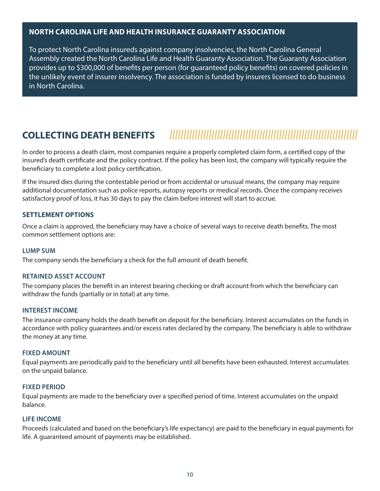# **NORTH CAROLINA LIFE AND HEALTH INSURANCE GUARANTY ASSOCIATION**

To protect North Carolina insureds against company insolvencies, the North Carolina General Assembly created the North Carolina Life and Health Guaranty Association. The Guaranty Association provides up to \$300,000 of benefits per person (for guaranteed policy benefits) on covered policies in the unlikely event of insurer insolvency. The association is funded by insurers licensed to do business in North Carolina.

# **COLLECTING DEATH BENEFITS |||||||||||||||||||||||||||||||||||||||||||||||||||||||||||||||||||**

In order to process a death claim, most companies require a properly completed claim form, a certified copy of the insured's death certificate and the policy contract. If the policy has been lost, the company will typically require the beneficiary to complete a lost policy certification.

If the insured dies during the contestable period or from accidental or unusual means, the company may require additional documentation such as police reports, autopsy reports or medical records. Once the company receives satisfactory proof of loss, it has 30 days to pay the claim before interest will start to accrue.

### **SETTLEMENT OPTIONS**

Once a claim is approved, the beneficiary may have a choice of several ways to receive death benefits. The most common settlement options are:

#### **LUMP SUM**

The company sends the beneficiary a check for the full amount of death benefit.

#### **RETAINED ASSET ACCOUNT**

The company places the benefit in an interest bearing checking or draft account from which the beneficiary can withdraw the funds (partially or in total) at any time.

#### **INTEREST INCOME**

The insurance company holds the death benefit on deposit for the beneficiary. Interest accumulates on the funds in accordance with policy guarantees and/or excess rates declared by the company. The beneficiary is able to withdraw the money at any time.

#### **FIXED AMOUNT**

Equal payments are periodically paid to the beneficiary until all benefits have been exhausted. Interest accumulates on the unpaid balance.

#### **FIXED PERIOD**

Equal payments are made to the beneficiary over a specified period of time. Interest accumulates on the unpaid balance.

#### **LIFE INCOME**

Proceeds (calculated and based on the beneficiary's life expectancy) are paid to the beneficiary in equal payments for life. A guaranteed amount of payments may be established.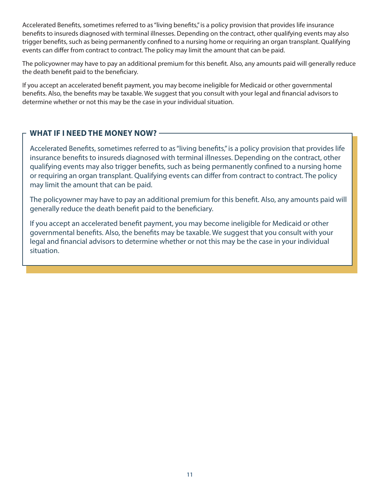Accelerated Benefits, sometimes referred to as "living benefits," is a policy provision that provides life insurance benefits to insureds diagnosed with terminal illnesses. Depending on the contract, other qualifying events may also trigger benefits, such as being permanently confined to a nursing home or requiring an organ transplant. Qualifying events can differ from contract to contract. The policy may limit the amount that can be paid.

The policyowner may have to pay an additional premium for this benefit. Also, any amounts paid will generally reduce the death benefit paid to the beneficiary.

If you accept an accelerated benefit payment, you may become ineligible for Medicaid or other governmental benefits. Also, the benefits may be taxable. We suggest that you consult with your legal and financial advisors to determine whether or not this may be the case in your individual situation.

# **WHAT IF I NEED THE MONEY NOW?**

Accelerated Benefits, sometimes referred to as "living benefits," is a policy provision that provides life insurance benefits to insureds diagnosed with terminal illnesses. Depending on the contract, other qualifying events may also trigger benefits, such as being permanently confined to a nursing home or requiring an organ transplant. Qualifying events can differ from contract to contract. The policy may limit the amount that can be paid.

The policyowner may have to pay an additional premium for this benefit. Also, any amounts paid will generally reduce the death benefit paid to the beneficiary.

If you accept an accelerated benefit payment, you may become ineligible for Medicaid or other governmental benefits. Also, the benefits may be taxable. We suggest that you consult with your legal and financial advisors to determine whether or not this may be the case in your individual situation.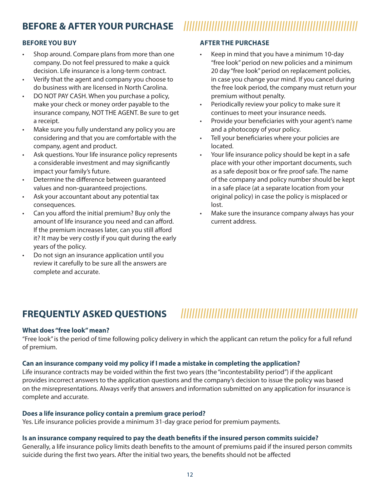# **BEFORE & AFTER YOUR PURCHASE ||||||||||||||||||||||||||||||||||||||||||||||||||||||||||||||**

# **BEFORE YOU BUY**

- Shop around. Compare plans from more than one company. Do not feel pressured to make a quick decision. Life insurance is a long-term contract.
- Verify that the agent and company you choose to do business with are licensed in North Carolina.
- DO NOT PAY CASH. When you purchase a policy, make your check or money order payable to the insurance company, NOT THE AGENT. Be sure to get a receipt.
- Make sure you fully understand any policy you are considering and that you are comfortable with the company, agent and product.
- Ask questions. Your life insurance policy represents a considerable investment and may significantly impact your family's future.
- Determine the difference between guaranteed values and non-guaranteed projections.
- Ask your accountant about any potential tax consequences.
- Can you afford the initial premium? Buy only the amount of life insurance you need and can afford. If the premium increases later, can you still afford it? It may be very costly if you quit during the early years of the policy.
- Do not sign an insurance application until you review it carefully to be sure all the answers are complete and accurate.

# **AFTER THE PURCHASE**

- Keep in mind that you have a minimum 10-day "free look" period on new policies and a minimum 20 day "free look" period on replacement policies, in case you change your mind. If you cancel during the free look period, the company must return your premium without penalty.
- Periodically review your policy to make sure it continues to meet your insurance needs.
- Provide your beneficiaries with your agent's name and a photocopy of your policy.
- Tell your beneficiaries where your policies are located.
- Your life insurance policy should be kept in a safe place with your other important documents, such as a safe deposit box or fire proof safe. The name of the company and policy number should be kept in a safe place (at a separate location from your original policy) in case the policy is misplaced or lost.
- Make sure the insurance company always has your current address.

# **FREQUENTLY ASKED QUESTIONS |||||||||||||||||||||||||||||||||||||||||||||||||||||||||||||||**

#### **What does "free look" mean?**

"Free look" is the period of time following policy delivery in which the applicant can return the policy for a full refund of premium.

# **Can an insurance company void my policy if I made a mistake in completing the application?**

Life insurance contracts may be voided within the first two years (the "incontestability period") if the applicant provides incorrect answers to the application questions and the company's decision to issue the policy was based on the misrepresentations. Always verify that answers and information submitted on any application for insurance is complete and accurate.

#### **Does a life insurance policy contain a premium grace period?**

Yes. Life insurance policies provide a minimum 31-day grace period for premium payments.

#### **Is an insurance company required to pay the death benefits if the insured person commits suicide?**

Generally, a life insurance policy limits death benefits to the amount of premiums paid if the insured person commits suicide during the first two years. After the initial two years, the benefits should not be affected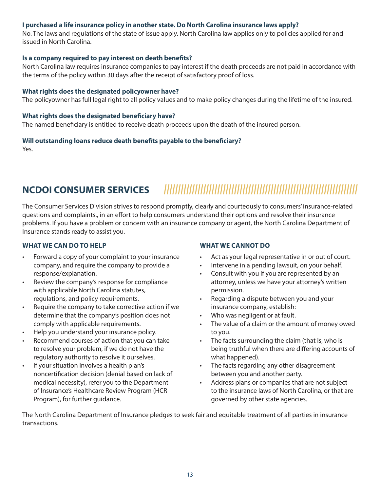# **I purchased a life insurance policy in another state. Do North Carolina insurance laws apply?**

No. The laws and regulations of the state of issue apply. North Carolina law applies only to policies applied for and issued in North Carolina.

### **Is a company required to pay interest on death benefits?**

North Carolina law requires insurance companies to pay interest if the death proceeds are not paid in accordance with the terms of the policy within 30 days after the receipt of satisfactory proof of loss.

### **What rights does the designated policyowner have?**

The policyowner has full legal right to all policy values and to make policy changes during the lifetime of the insured.

### **What rights does the designated beneficiary have?**

The named beneficiary is entitled to receive death proceeds upon the death of the insured person.

# **Will outstanding loans reduce death benefits payable to the beneficiary?**

Yes.

# **NCDOI CONSUMER SERVICES |||||||||||||||||||||||||||||||||||||||||||||||||||||||||||||||||||||**

The Consumer Services Division strives to respond promptly, clearly and courteously to consumers' insurance-related questions and complaints., in an effort to help consumers understand their options and resolve their insurance problems. If you have a problem or concern with an insurance company or agent, the North Carolina Department of Insurance stands ready to assist you.

# **WHAT WE CAN DO TO HELP**

- Forward a copy of your complaint to your insurance company, and require the company to provide a response/explanation.
- Review the company's response for compliance with applicable North Carolina statutes, regulations, and policy requirements.
- Require the company to take corrective action if we determine that the company's position does not comply with applicable requirements.
- Help you understand your insurance policy.
- Recommend courses of action that you can take to resolve your problem, if we do not have the regulatory authority to resolve it ourselves.
- If your situation involves a health plan's noncertification decision (denial based on lack of medical necessity), refer you to the Department of Insurance's Healthcare Review Program (HCR Program), for further guidance.

# **WHAT WE CANNOT DO**

- Act as your legal representative in or out of court.
- Intervene in a pending lawsuit, on your behalf.
- Consult with you if you are represented by an attorney, unless we have your attorney's written permission.
- Regarding a dispute between you and your insurance company, establish:
- Who was negligent or at fault.
- The value of a claim or the amount of money owed to you.
- The facts surrounding the claim (that is, who is being truthful when there are differing accounts of what happened).
- The facts regarding any other disagreement between you and another party.
- Address plans or companies that are not subject to the insurance laws of North Carolina, or that are governed by other state agencies.

The North Carolina Department of Insurance pledges to seek fair and equitable treatment of all parties in insurance transactions.